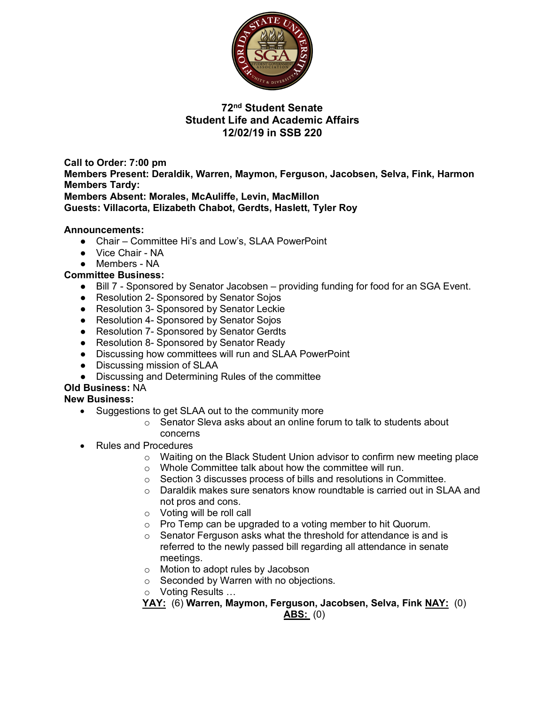

# **72nd Student Senate Student Life and Academic Affairs 12/02/19 in SSB 220**

**Call to Order: 7:00 pm Members Present: Deraldik, Warren, Maymon, Ferguson, Jacobsen, Selva, Fink, Harmon Members Tardy: Members Absent: Morales, McAuliffe, Levin, MacMillon**

**Guests: Villacorta, Elizabeth Chabot, Gerdts, Haslett, Tyler Roy**

### **Announcements:**

- Chair Committee Hi's and Low's, SLAA PowerPoint
- Vice Chair NA
- Members NA

### **Committee Business:**

- Bill 7 Sponsored by Senator Jacobsen providing funding for food for an SGA Event.
- Resolution 2- Sponsored by Senator Sojos
- Resolution 3- Sponsored by Senator Leckie
- Resolution 4- Sponsored by Senator Sojos
- Resolution 7- Sponsored by Senator Gerdts
- Resolution 8- Sponsored by Senator Ready
- Discussing how committees will run and SLAA PowerPoint
- Discussing mission of SLAA
- Discussing and Determining Rules of the committee

### **Old Business:** NA

#### **New Business:**

- Suggestions to get SLAA out to the community more
	- o Senator Sleva asks about an online forum to talk to students about concerns
- Rules and Procedures
	- $\circ$  Waiting on the Black Student Union advisor to confirm new meeting place
	- o Whole Committee talk about how the committee will run.
	- o Section 3 discusses process of bills and resolutions in Committee.
	- o Daraldik makes sure senators know roundtable is carried out in SLAA and not pros and cons.
	- o Voting will be roll call
	- o Pro Temp can be upgraded to a voting member to hit Quorum.
	- o Senator Ferguson asks what the threshold for attendance is and is referred to the newly passed bill regarding all attendance in senate meetings.
	- o Motion to adopt rules by Jacobson
	- o Seconded by Warren with no objections.
	- o Voting Results …

**YAY:** (6) **Warren, Maymon, Ferguson, Jacobsen, Selva, Fink NAY:** (0)

#### **ABS:** (0)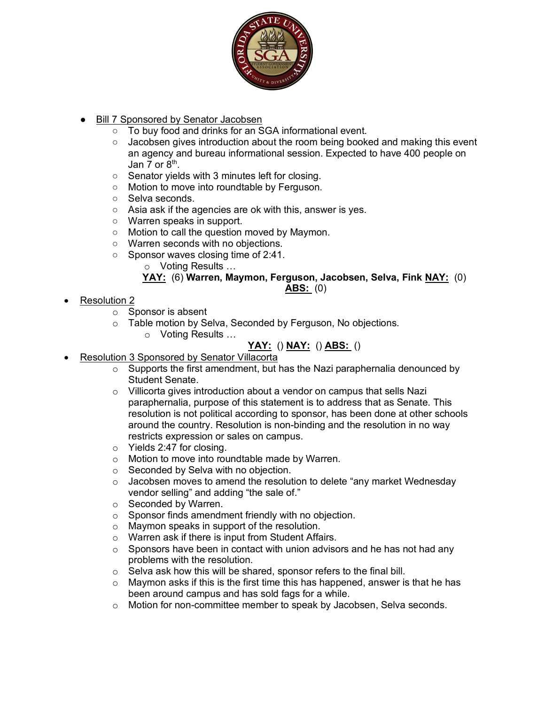

- Bill 7 Sponsored by Senator Jacobsen
	- To buy food and drinks for an SGA informational event.
	- Jacobsen gives introduction about the room being booked and making this event an agency and bureau informational session. Expected to have 400 people on Jan 7 or  $8<sup>th</sup>$ .
	- Senator yields with 3 minutes left for closing.
	- Motion to move into roundtable by Ferguson.
	- Selva seconds.
	- Asia ask if the agencies are ok with this, answer is yes.
	- Warren speaks in support.
	- Motion to call the question moved by Maymon.
	- Warren seconds with no objections.
	- Sponsor waves closing time of 2:41.

o Voting Results …

## **YAY:** (6) **Warren, Maymon, Ferguson, Jacobsen, Selva, Fink NAY:** (0)

### **ABS:** (0)

- Resolution 2
	- o Sponsor is absent
	- o Table motion by Selva, Seconded by Ferguson, No objections.
		- o Voting Results …

# **YAY:** () **NAY:** () **ABS:** ()

- Resolution 3 Sponsored by Senator Villacorta
	- $\circ$  Supports the first amendment, but has the Nazi paraphernalia denounced by Student Senate.
	- o Villicorta gives introduction about a vendor on campus that sells Nazi paraphernalia, purpose of this statement is to address that as Senate. This resolution is not political according to sponsor, has been done at other schools around the country. Resolution is non-binding and the resolution in no way restricts expression or sales on campus.
	- o Yields 2:47 for closing.
	- o Motion to move into roundtable made by Warren.
	- o Seconded by Selva with no objection.
	- $\circ$  Jacobsen moves to amend the resolution to delete "any market Wednesday" vendor selling" and adding "the sale of."
	- o Seconded by Warren.
	- o Sponsor finds amendment friendly with no objection.
	- o Maymon speaks in support of the resolution.
	- o Warren ask if there is input from Student Affairs.
	- $\circ$  Sponsors have been in contact with union advisors and he has not had any problems with the resolution.
	- o Selva ask how this will be shared, sponsor refers to the final bill.
	- $\circ$  Maymon asks if this is the first time this has happened, answer is that he has been around campus and has sold fags for a while.
	- o Motion for non-committee member to speak by Jacobsen, Selva seconds.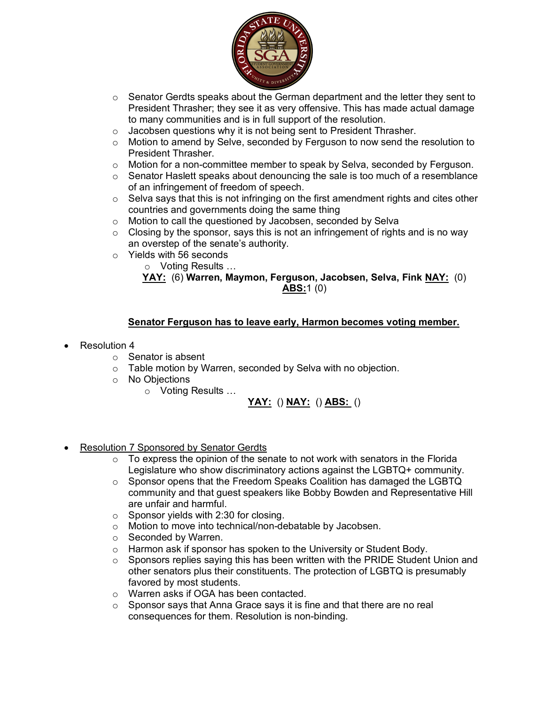

- $\circ$  Senator Gerdts speaks about the German department and the letter they sent to President Thrasher; they see it as very offensive. This has made actual damage to many communities and is in full support of the resolution.
- o Jacobsen questions why it is not being sent to President Thrasher.
- o Motion to amend by Selve, seconded by Ferguson to now send the resolution to President Thrasher.
- $\circ$  Motion for a non-committee member to speak by Selva, seconded by Ferguson.
- o Senator Haslett speaks about denouncing the sale is too much of a resemblance of an infringement of freedom of speech.
- $\circ$  Selva says that this is not infringing on the first amendment rights and cites other countries and governments doing the same thing
- o Motion to call the questioned by Jacobsen, seconded by Selva
- $\circ$  Closing by the sponsor, says this is not an infringement of rights and is no way an overstep of the senate's authority.
- o Yields with 56 seconds

o Voting Results …

**YAY:** (6) **Warren, Maymon, Ferguson, Jacobsen, Selva, Fink NAY:** (0) **ABS:**1 (0)

### **Senator Ferguson has to leave early, Harmon becomes voting member.**

- Resolution 4
	- o Senator is absent
	- o Table motion by Warren, seconded by Selva with no objection.
	- o No Objections
		- o Voting Results …

### **YAY:** () **NAY:** () **ABS:** ()

- Resolution 7 Sponsored by Senator Gerdts
	- $\circ$  To express the opinion of the senate to not work with senators in the Florida Legislature who show discriminatory actions against the LGBTQ+ community.
	- $\circ$  Sponsor opens that the Freedom Speaks Coalition has damaged the LGBTQ community and that guest speakers like Bobby Bowden and Representative Hill are unfair and harmful.
	- o Sponsor yields with 2:30 for closing.
	- o Motion to move into technical/non-debatable by Jacobsen.
	- o Seconded by Warren.
	- o Harmon ask if sponsor has spoken to the University or Student Body.
	- $\circ$  Sponsors replies saying this has been written with the PRIDE Student Union and other senators plus their constituents. The protection of LGBTQ is presumably favored by most students.
	- o Warren asks if OGA has been contacted.
	- o Sponsor says that Anna Grace says it is fine and that there are no real consequences for them. Resolution is non-binding.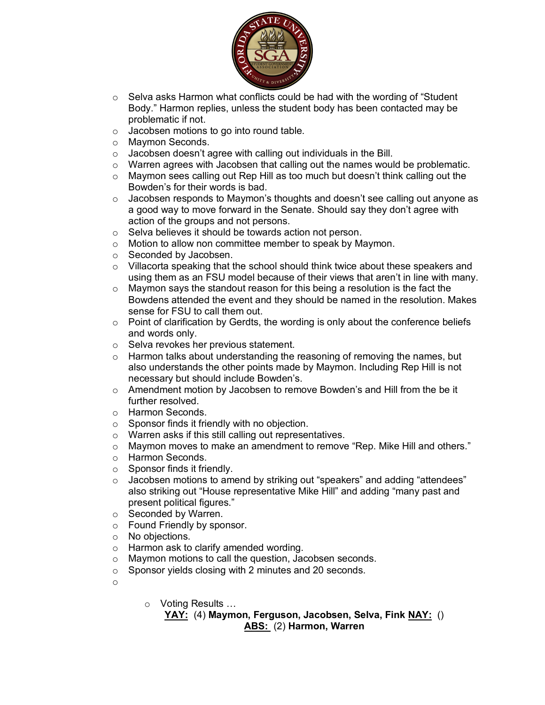

- o Selva asks Harmon what conflicts could be had with the wording of "Student Body." Harmon replies, unless the student body has been contacted may be problematic if not.
- o Jacobsen motions to go into round table.
- o Maymon Seconds.
- $\circ$  Jacobsen doesn't agree with calling out individuals in the Bill.
- $\circ$  Warren agrees with Jacobsen that calling out the names would be problematic.
- o Maymon sees calling out Rep Hill as too much but doesn't think calling out the Bowden's for their words is bad.
- o Jacobsen responds to Maymon's thoughts and doesn't see calling out anyone as a good way to move forward in the Senate. Should say they don't agree with action of the groups and not persons.
- o Selva believes it should be towards action not person.
- o Motion to allow non committee member to speak by Maymon.
- o Seconded by Jacobsen.
- $\circ$  Villacorta speaking that the school should think twice about these speakers and using them as an FSU model because of their views that aren't in line with many.
- $\circ$  Maymon says the standout reason for this being a resolution is the fact the Bowdens attended the event and they should be named in the resolution. Makes sense for FSU to call them out.
- $\circ$  Point of clarification by Gerdts, the wording is only about the conference beliefs and words only.
- o Selva revokes her previous statement.
- $\circ$  Harmon talks about understanding the reasoning of removing the names, but also understands the other points made by Maymon. Including Rep Hill is not necessary but should include Bowden's.
- $\circ$  Amendment motion by Jacobsen to remove Bowden's and Hill from the be it further resolved.
- o Harmon Seconds.
- o Sponsor finds it friendly with no objection.
- $\circ$  Warren asks if this still calling out representatives.<br> $\circ$  Maymon moves to make an amendment to remove
- Maymon moves to make an amendment to remove "Rep. Mike Hill and others."
- o Harmon Seconds.
- o Sponsor finds it friendly.
- o Jacobsen motions to amend by striking out "speakers" and adding "attendees" also striking out "House representative Mike Hill" and adding "many past and present political figures."
- o Seconded by Warren.
- o Found Friendly by sponsor.
- o No objections.
- o Harmon ask to clarify amended wording.
- o Maymon motions to call the question, Jacobsen seconds.
- o Sponsor yields closing with 2 minutes and 20 seconds.
- o
- o Voting Results …

**YAY:** (4) **Maymon, Ferguson, Jacobsen, Selva, Fink NAY:** () **ABS:** (2) **Harmon, Warren**